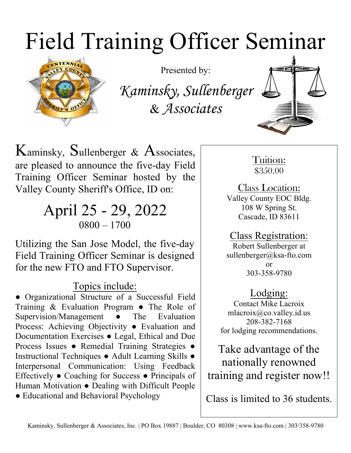# Field Training Officer Seminar



Presented by:

*Kaminsky, Sullenberger*  & *Associates*



Kaminsky, Sullenberger & Associates, are pleased to announce the five-day Field Training Officer Seminar hosted by the Valley County Sheriff's Office, ID on:

## April 25 - 29, 2022 0800 – 1700

Utilizing the San Jose Model, the five-day Field Training Officer Seminar is designed for the new FTO and FTO Supervisor.

## Topics include:

● Organizational Structure of a Successful Field Training & Evaluation Program ● The Role of Supervision/Management ● The Evaluation Process: Achieving Objectivity ● Evaluation and Documentation Exercises ● Legal, Ethical and Due Process Issues ● Remedial Training Strategies ● Instructional Techniques ● Adult Learning Skills ● Interpersonal Communication: Using Feedback Effectively ● Coaching for Success ● Principals of Human Motivation ● Dealing with Difficult People

● Educational and Behavioral Psychology

Tuition: \$350.00

Class Location: Valley County EOC Bldg. 108 W Spring St. Cascade, ID 83611

### Class Registration:

Robert Sullenberger at sullenberger@ksa-fto.com or 303-358-9780

#### Lodging:

Contact Mike Lacroix mlacroix@co.valley.id.us 208-382-7168 for lodging recommendations.

Take advantage of the nationally renowned training and register now!!

Class is limited to 36 students.